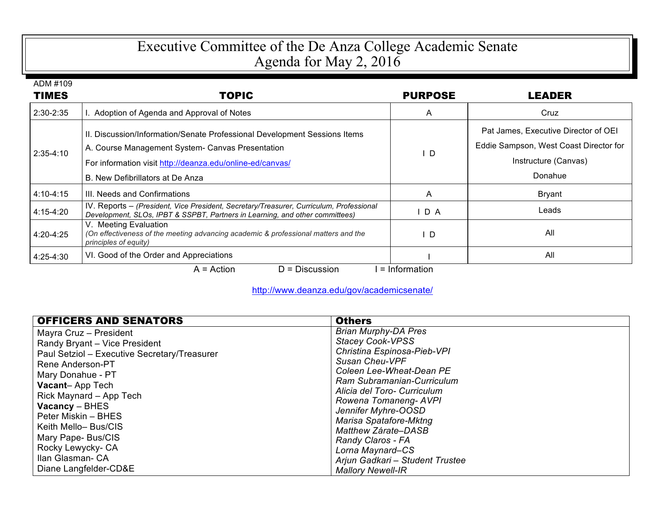## Executive Committee of the De Anza College Academic Senate Agenda for May 2, 2016

| ADM #109      |                                                                                                                                                                                                                                |                |                                                                                                                   |
|---------------|--------------------------------------------------------------------------------------------------------------------------------------------------------------------------------------------------------------------------------|----------------|-------------------------------------------------------------------------------------------------------------------|
| <b>TIMES</b>  | <b>TOPIC</b>                                                                                                                                                                                                                   | <b>PURPOSE</b> | LEADER                                                                                                            |
| $2:30 - 2:35$ | Adoption of Agenda and Approval of Notes                                                                                                                                                                                       | A              | Cruz                                                                                                              |
| $2:35-4:10$   | II. Discussion/Information/Senate Professional Development Sessions Items<br>A. Course Management System- Canvas Presentation<br>For information visit http://deanza.edu/online-ed/canvas/<br>B. New Defibrillators at De Anza | D              | Pat James, Executive Director of OEI<br>Eddie Sampson, West Coast Director for<br>Instructure (Canvas)<br>Donahue |
| 4:10-4:15     | III. Needs and Confirmations                                                                                                                                                                                                   | A              | <b>Bryant</b>                                                                                                     |
| $4:15-4:20$   | IV. Reports - (President, Vice President, Secretary/Treasurer, Curriculum, Professional<br>Development, SLOs, IPBT & SSPBT, Partners in Learning, and other committees)                                                        | D A            | Leads                                                                                                             |
| 4:20-4:25     | V. Meeting Evaluation<br>(On effectiveness of the meeting advancing academic & professional matters and the<br>principles of equity)                                                                                           | ΙD             | All                                                                                                               |
| 4:25-4:30     | VI. Good of the Order and Appreciations                                                                                                                                                                                        |                | All                                                                                                               |
|               | $D = Discussion$<br>$A = Action$                                                                                                                                                                                               | = Information  |                                                                                                                   |

http://www.deanza.edu/gov/academicsenate/